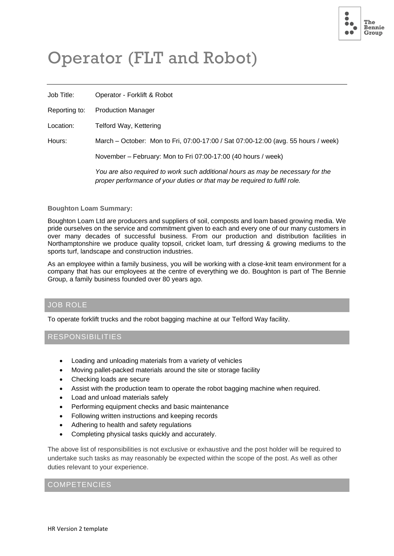

# Operator (FLT and Robot)

Job Title: Operator - Forklift & Robot

Reporting to: Production Manager

Location: Telford Way, Kettering

Hours: March – October: Mon to Fri, 07:00-17:00 / Sat 07:00-12:00 (avg. 55 hours / week)

November – February: Mon to Fri 07:00-17:00 (40 hours / week)

*You are also required to work such additional hours as may be necessary for the proper performance of your duties or that may be required to fulfil role.*

#### **Boughton Loam Summary:**

Boughton Loam Ltd are producers and suppliers of soil, composts and loam based growing media. We pride ourselves on the service and commitment given to each and every one of our many customers in over many decades of successful business. From our production and distribution facilities in Northamptonshire we produce quality topsoil, cricket loam, turf dressing & growing mediums to the sports turf, landscape and construction industries.

As an employee within a family business, you will be working with a close-knit team environment for a company that has our employees at the centre of everything we do. Boughton is part of The Bennie Group, a family business founded over 80 years ago.

## JOB ROLE

To operate forklift trucks and the robot bagging machine at our Telford Way facility.

## RESPONSIBILITIES

- Loading and unloading materials from a variety of vehicles
- Moving pallet-packed materials around the site or storage facility
- Checking loads are secure
- Assist with the production team to operate the robot bagging machine when required.
- Load and unload materials safely
- Performing equipment checks and basic maintenance
- Following written instructions and keeping records
- Adhering to health and safety regulations
- Completing physical tasks quickly and accurately.

The above list of responsibilities is not exclusive or exhaustive and the post holder will be required to undertake such tasks as may reasonably be expected within the scope of the post. As well as other duties relevant to your experience.

#### COMPETENCIES